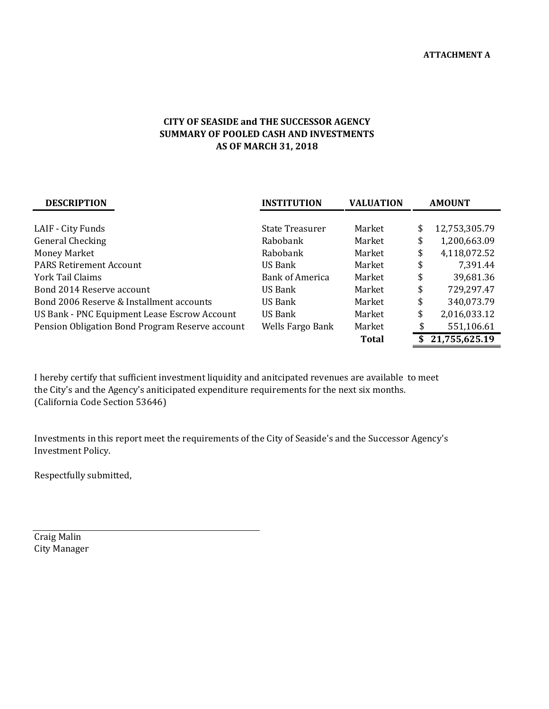## **CITY OF SEASIDE and THE SUCCESSOR AGENCY SUMMARY OF POOLED CASH AND INVESTMENTS AS OF MARCH 31, 2018**

| <b>DESCRIPTION</b>                              | <b>INSTITUTION</b>     | <b>VALUATION</b> | <b>AMOUNT</b> |               |  |
|-------------------------------------------------|------------------------|------------------|---------------|---------------|--|
|                                                 |                        |                  |               |               |  |
| LAIF - City Funds                               | <b>State Treasurer</b> | Market           | \$            | 12,753,305.79 |  |
| General Checking                                | Rabobank               | Market           | \$            | 1,200,663.09  |  |
| <b>Money Market</b>                             | Rabobank               | Market           | \$            | 4,118,072.52  |  |
| <b>PARS Retirement Account</b>                  | US Bank                | Market           | \$            | 7,391.44      |  |
| York Tail Claims                                | <b>Bank of America</b> | Market           | \$            | 39,681.36     |  |
| Bond 2014 Reserve account                       | US Bank                | Market           | \$            | 729,297.47    |  |
| Bond 2006 Reserve & Installment accounts        | US Bank                | Market           | \$            | 340,073.79    |  |
| US Bank - PNC Equipment Lease Escrow Account    | US Bank                | Market           | \$            | 2,016,033.12  |  |
| Pension Obligation Bond Program Reserve account | Wells Fargo Bank       | Market           | \$            | 551,106.61    |  |
|                                                 |                        | <b>Total</b>     |               | 21,755,625.19 |  |

I hereby certify that sufficient investment liquidity and anitcipated revenues are available to meet the City's and the Agency's aniticipated expenditure requirements for the next six months. (California Code Section 53646)

Investments in this report meet the requirements of the City of Seaside's and the Successor Agency's Investment Policy.

Respectfully submitted,

Craig Malin City Manager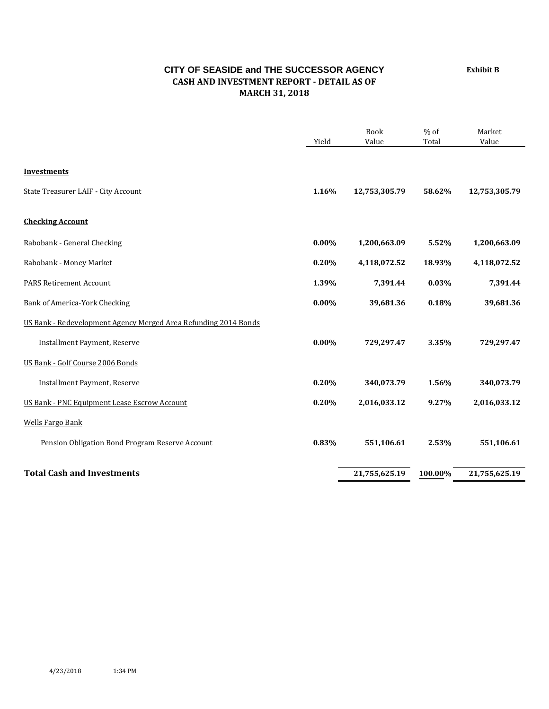## **CITY OF SEASIDE and THE SUCCESSOR AGENCY CASH AND INVESTMENT REPORT - DETAIL AS OF MARCH 31, 2018**

Book % of Market Yield Value Total Value **Investments** State Treasurer LAIF - City Account **1.16% 12,753,305.79 58.62% 12,753,305.79 Checking Account** Rabobank - General Checking **0.00% 1,200,663.09 5.52% 1,200,663.09** Rabobank - Money Market **0.20% 4,118,072.52 18.93% 4,118,072.52** PARS Retirement Account **1.39% 7,391.44 0.03% 7,391.44** Bank of America-York Checking **0.00% 39,681.36 0.18% 39,681.36** US Bank - Redevelopment Agency Merged Area Refunding 2014 Bonds Installment Payment, Reserve **0.00% 729,297.47 3.35% 729,297.47** US Bank - Golf Course 2006 Bonds Installment Payment, Reserve **0.20% 340,073.79 1.56% 340,073.79** US Bank - PNC Equipment Lease Escrow Account **0.20% 2,016,033.12 9.27% 2,016,033.12** Wells Fargo Bank Pension Obligation Bond Program Reserve Account **0.83% 551,106.61 2.53% 551,106.61 Total Cash and Investments 21,755,625.19 100.00% 21,755,625.19**